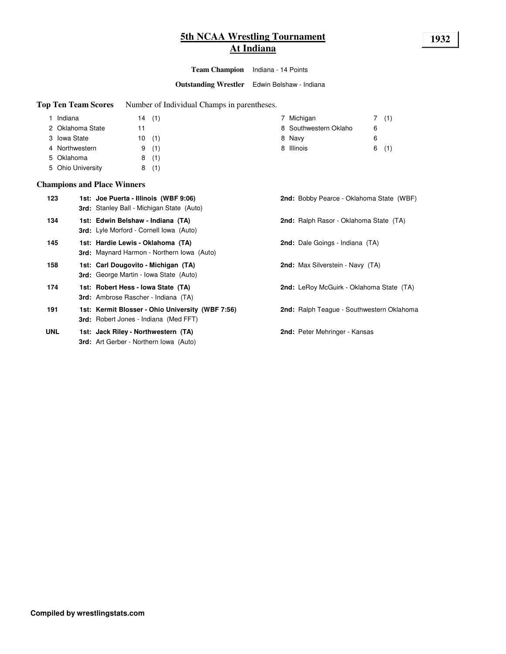# **5th NCAA Wrestling Tournament 1932 At Indiana**

**Team Champion** Indiana - 14 Points

**Outstanding Wrestler** Edwin Belshaw - Indiana

**Top Ten Team Scores** Number of Individual Champs in parentheses.

| Indiana           | (1)<br>14 | Michigan              |   |     |
|-------------------|-----------|-----------------------|---|-----|
| 2 Oklahoma State  |           | 8 Southwestern Oklaho | 6 |     |
| 3 Iowa State      | (1)<br>10 | 8 Navy                | 6 |     |
| 4 Northwestern    | (1)<br>9  | 8 Illinois            | 6 | (1) |
| 5 Oklahoma        | (1)<br>8  |                       |   |     |
| 5 Ohio University | (1)<br>8  |                       |   |     |

#### **Champions and Place Winners**

| 123        | 1st: Joe Puerta - Illinois (WBF 9:06)<br><b>3rd:</b> Stanley Ball - Michigan State (Auto) | 2nd: Bobby Pearce - Oklahoma State (WBF)  |
|------------|-------------------------------------------------------------------------------------------|-------------------------------------------|
| 134        | 1st: Edwin Belshaw - Indiana (TA)<br><b>3rd:</b> Lyle Morford - Cornell Iowa (Auto)       | 2nd: Ralph Rasor - Oklahoma State (TA)    |
| 145        | 1st: Hardie Lewis - Oklahoma (TA)<br><b>3rd:</b> Maynard Harmon - Northern Iowa (Auto)    | <b>2nd:</b> Dale Goings - Indiana (TA)    |
| 158        | 1st: Carl Dougovito - Michigan (TA)<br><b>3rd:</b> George Martin - Iowa State (Auto)      | <b>2nd:</b> Max Silverstein - Navy (TA)   |
| 174        | 1st: Robert Hess - Iowa State (TA)<br><b>3rd:</b> Ambrose Rascher - Indiana (TA)          | 2nd: LeRoy McGuirk - Oklahoma State (TA)  |
| 191        | 1st: Kermit Blosser - Ohio University (WBF 7:56)<br>3rd: Robert Jones - Indiana (Med FFT) | 2nd: Ralph Teague - Southwestern Oklahoma |
| <b>UNL</b> | 1st: Jack Riley - Northwestern (TA)<br><b>3rd:</b> Art Gerber - Northern Iowa (Auto)      | 2nd: Peter Mehringer - Kansas             |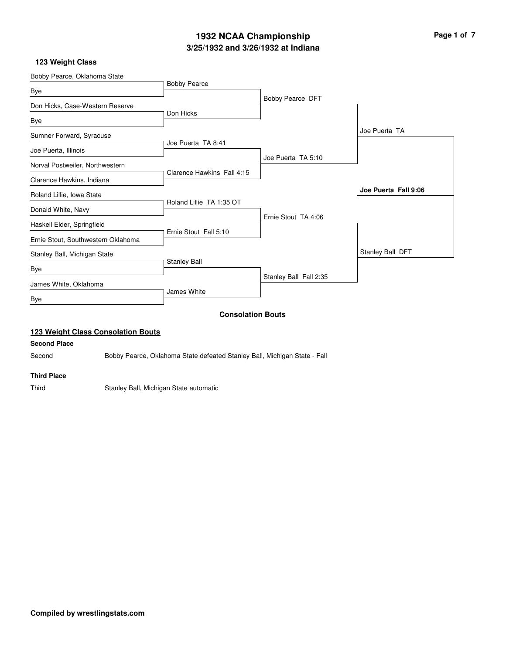# **3/25/1932 and 3/26/1932 at Indiana 1932 NCAA Championship Page 1 of 7**

#### **123 Weight Class**

| Bobby Pearce, Oklahoma State       |                            |                        |                      |
|------------------------------------|----------------------------|------------------------|----------------------|
|                                    | <b>Bobby Pearce</b>        |                        |                      |
| Bye                                |                            | Bobby Pearce DFT       |                      |
| Don Hicks, Case-Western Reserve    |                            |                        |                      |
| Bye                                | Don Hicks                  |                        |                      |
| Sumner Forward, Syracuse           |                            |                        | Joe Puerta TA        |
| Joe Puerta, Illinois               | Joe Puerta TA 8:41         |                        |                      |
| Norval Postweiler, Northwestern    |                            | Joe Puerta TA 5:10     |                      |
|                                    | Clarence Hawkins Fall 4:15 |                        |                      |
| Clarence Hawkins, Indiana          |                            |                        |                      |
| Roland Lillie, Iowa State          |                            |                        | Joe Puerta Fall 9:06 |
|                                    | Roland Lillie TA 1:35 OT   |                        |                      |
| Donald White, Navy                 |                            | Ernie Stout TA 4:06    |                      |
| Haskell Elder, Springfield         |                            |                        |                      |
| Ernie Stout, Southwestern Oklahoma | Ernie Stout Fall 5:10      |                        |                      |
| Stanley Ball, Michigan State       |                            |                        | Stanley Ball DFT     |
| Bye                                | <b>Stanley Ball</b>        |                        |                      |
|                                    |                            | Stanley Ball Fall 2:35 |                      |
| James White, Oklahoma              |                            |                        |                      |
| Bye                                | James White                |                        |                      |
|                                    | <b>Consolation Bouts</b>   |                        |                      |

## **123 Weight Class Consolation Bouts**

#### **Second Place**

Second Bobby Pearce, Oklahoma State defeated Stanley Ball, Michigan State - Fall

#### **Third Place**

Third Stanley Ball, Michigan State automatic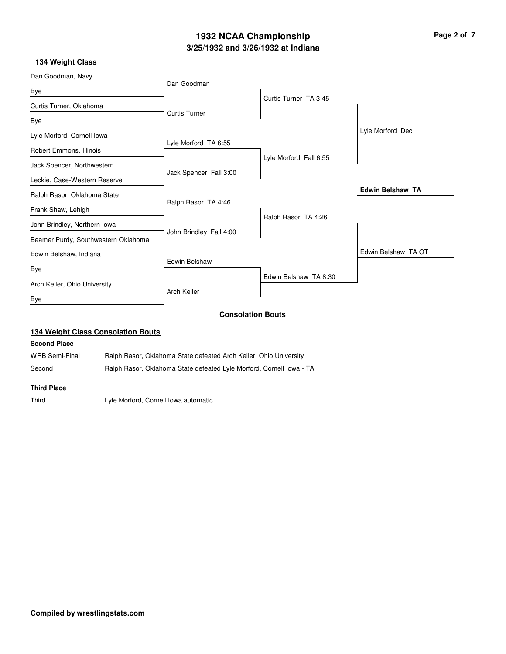# **3/25/1932 and 3/26/1932 at Indiana 1932 NCAA Championship Page 2 of 7**

#### **134 Weight Class**

| Dan Goodman, Navy                   |                         |                          |                         |
|-------------------------------------|-------------------------|--------------------------|-------------------------|
|                                     | Dan Goodman             |                          |                         |
| Bye                                 |                         | Curtis Turner TA 3:45    |                         |
| Curtis Turner, Oklahoma             |                         |                          |                         |
|                                     | <b>Curtis Turner</b>    |                          |                         |
| Bye                                 |                         |                          |                         |
| Lyle Morford, Cornell Iowa          |                         |                          | Lyle Morford Dec        |
|                                     | Lyle Morford TA 6:55    |                          |                         |
| Robert Emmons, Illinois             |                         |                          |                         |
| Jack Spencer, Northwestern          |                         | Lyle Morford Fall 6:55   |                         |
|                                     | Jack Spencer Fall 3:00  |                          |                         |
| Leckie, Case-Western Reserve        |                         |                          |                         |
| Ralph Rasor, Oklahoma State         |                         |                          | <b>Edwin Belshaw TA</b> |
|                                     | Ralph Rasor TA 4:46     |                          |                         |
| Frank Shaw, Lehigh                  |                         |                          |                         |
| John Brindley, Northern Iowa        |                         | Ralph Rasor TA 4:26      |                         |
|                                     | John Brindley Fall 4:00 |                          |                         |
| Beamer Purdy, Southwestern Oklahoma |                         |                          |                         |
| Edwin Belshaw, Indiana              |                         |                          | Edwin Belshaw TA OT     |
|                                     | Edwin Belshaw           |                          |                         |
| Bye                                 |                         |                          |                         |
| Arch Keller, Ohio University        |                         | Edwin Belshaw TA 8:30    |                         |
|                                     | <b>Arch Keller</b>      |                          |                         |
| Bye                                 |                         |                          |                         |
|                                     |                         | <b>Consolation Bouts</b> |                         |
|                                     |                         |                          |                         |

#### **134 Weight Class Consolation Bouts**

#### **Second Place**

WRB Semi-Final Ralph Rasor, Oklahoma State defeated Arch Keller, Ohio University

Second Ralph Rasor, Oklahoma State defeated Lyle Morford, Cornell Iowa - TA

#### **Third Place**

Third Lyle Morford, Cornell Iowa automatic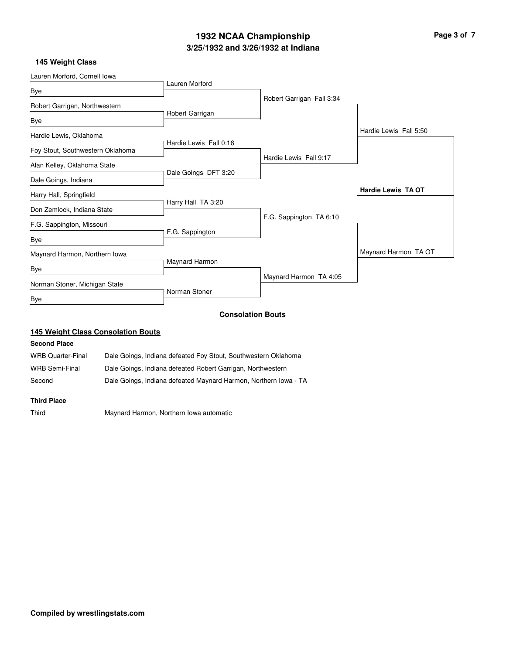# **3/25/1932 and 3/26/1932 at Indiana 1932 NCAA Championship Page 3 of 7**

## **145 Weight Class**

| Lauren Morford, Cornell Iowa     |                        |                           |                           |
|----------------------------------|------------------------|---------------------------|---------------------------|
|                                  | Lauren Morford         |                           |                           |
| Bye                              |                        | Robert Garrigan Fall 3:34 |                           |
| Robert Garrigan, Northwestern    |                        |                           |                           |
| Bye                              | Robert Garrigan        |                           |                           |
| Hardie Lewis, Oklahoma           |                        |                           | Hardie Lewis Fall 5:50    |
|                                  | Hardie Lewis Fall 0:16 |                           |                           |
| Foy Stout, Southwestern Oklahoma |                        | Hardie Lewis Fall 9:17    |                           |
| Alan Kelley, Oklahoma State      |                        |                           |                           |
| Dale Goings, Indiana             | Dale Goings DFT 3:20   |                           |                           |
| Harry Hall, Springfield          |                        |                           | <b>Hardie Lewis TA OT</b> |
|                                  | Harry Hall TA 3:20     |                           |                           |
| Don Zemlock, Indiana State       |                        | F.G. Sappington TA 6:10   |                           |
| F.G. Sappington, Missouri        |                        |                           |                           |
| Bye                              | F.G. Sappington        |                           |                           |
| Maynard Harmon, Northern Iowa    |                        |                           | Maynard Harmon TA OT      |
|                                  | Maynard Harmon         |                           |                           |
| Bye                              |                        |                           |                           |
| Norman Stoner, Michigan State    |                        | Maynard Harmon TA 4:05    |                           |
| Bye                              | Norman Stoner          |                           |                           |
|                                  |                        | <b>Consolation Bouts</b>  |                           |

## **145 Weight Class Consolation Bouts**

#### **Second Place**

| WRB Quarter-Final | Dale Goings, Indiana defeated Foy Stout, Southwestern Oklahoma   |
|-------------------|------------------------------------------------------------------|
| WRB Semi-Final    | Dale Goings, Indiana defeated Robert Garrigan, Northwestern      |
| Second            | Dale Goings, Indiana defeated Maynard Harmon, Northern Iowa - TA |

#### **Third Place**

Third Maynard Harmon, Northern Iowa automatic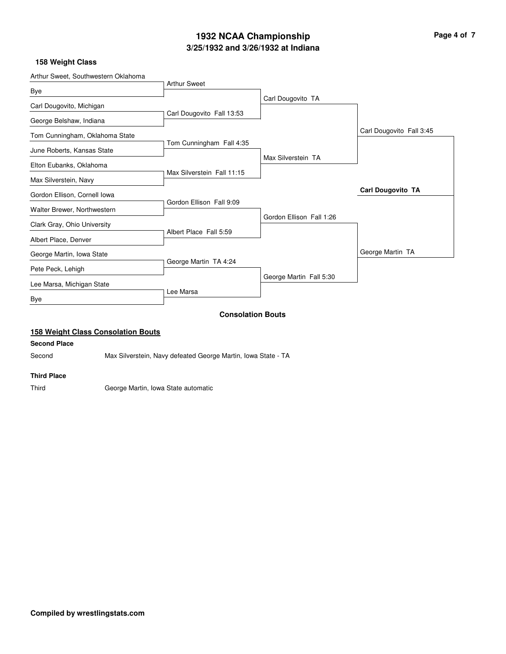# **3/25/1932 and 3/26/1932 at Indiana 1932 NCAA Championship Page 4 of 7**

#### **158 Weight Class**

|                            |                                                                                          | George Martin TA                                    |
|----------------------------|------------------------------------------------------------------------------------------|-----------------------------------------------------|
|                            |                                                                                          |                                                     |
|                            |                                                                                          |                                                     |
|                            | Gordon Ellison Fall 1:26                                                                 |                                                     |
| Gordon Ellison Fall 9:09   |                                                                                          |                                                     |
|                            |                                                                                          | <b>Carl Dougovito TA</b>                            |
| Max Silverstein Fall 11:15 |                                                                                          |                                                     |
|                            | Max Silverstein TA                                                                       |                                                     |
|                            |                                                                                          |                                                     |
|                            |                                                                                          | Carl Dougovito Fall 3:45                            |
| Carl Dougovito Fall 13:53  |                                                                                          |                                                     |
|                            | Carl Dougovito TA                                                                        |                                                     |
| <b>Arthur Sweet</b>        |                                                                                          |                                                     |
|                            | Tom Cunningham Fall 4:35<br>Albert Place Fall 5:59<br>George Martin TA 4:24<br>Lee Marsa | George Martin Fall 5:30<br><b>Consolation Bouts</b> |

## **158 Weight Class Consolation Bouts**

#### **Second Place**

l.

Second Max Silverstein, Navy defeated George Martin, Iowa State - TA

#### **Third Place**

Third George Martin, Iowa State automatic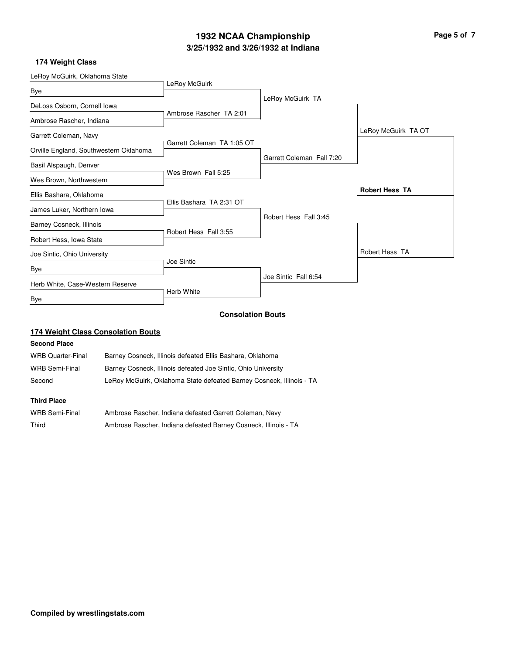# **3/25/1932 and 3/26/1932 at Indiana 1932 NCAA Championship Page 5 of 7**

## **174 Weight Class**

| LeRoy McGuirk, Oklahoma State          |                            |                           |                       |
|----------------------------------------|----------------------------|---------------------------|-----------------------|
|                                        | LeRoy McGuirk              |                           |                       |
| Bye                                    |                            | LeRoy McGuirk TA          |                       |
| DeLoss Osborn, Cornell lowa            |                            |                           |                       |
| Ambrose Rascher, Indiana               | Ambrose Rascher TA 2:01    |                           |                       |
| Garrett Coleman, Navy                  |                            |                           | LeRoy McGuirk TA OT   |
| Orville England, Southwestern Oklahoma | Garrett Coleman TA 1:05 OT |                           |                       |
|                                        |                            | Garrett Coleman Fall 7:20 |                       |
| Basil Alspaugh, Denver                 | Wes Brown Fall 5:25        |                           |                       |
| Wes Brown, Northwestern                |                            |                           |                       |
| Ellis Bashara, Oklahoma                |                            |                           | <b>Robert Hess TA</b> |
| James Luker, Northern Iowa             | Ellis Bashara TA 2:31 OT   |                           |                       |
|                                        |                            | Robert Hess Fall 3:45     |                       |
| Barney Cosneck, Illinois               |                            |                           |                       |
| Robert Hess, Iowa State                | Robert Hess Fall 3:55      |                           |                       |
| Joe Sintic, Ohio University            |                            |                           | Robert Hess TA        |
| <b>Bye</b>                             | Joe Sintic                 |                           |                       |
| Herb White, Case-Western Reserve       |                            | Joe Sintic Fall 6:54      |                       |
| Bye                                    | Herb White                 |                           |                       |
|                                        |                            |                           |                       |

# **Consolation Bouts**

# **174 Weight Class Consolation Bouts**

### **Second Place**

| <b>WRB Quarter-Final</b> | Barney Cosneck, Illinois defeated Ellis Bashara, Oklahoma            |
|--------------------------|----------------------------------------------------------------------|
| <b>WRB Semi-Final</b>    | Barney Cosneck, Illinois defeated Joe Sintic, Ohio University        |
| Second                   | LeRoy McGuirk, Oklahoma State defeated Barney Cosneck, Illinois - TA |
|                          |                                                                      |

# **Third Place**

| <b>WRB Semi-Final</b> | Ambrose Rascher, Indiana defeated Garrett Coleman, Navy         |
|-----------------------|-----------------------------------------------------------------|
| Third                 | Ambrose Rascher, Indiana defeated Barney Cosneck, Illinois - TA |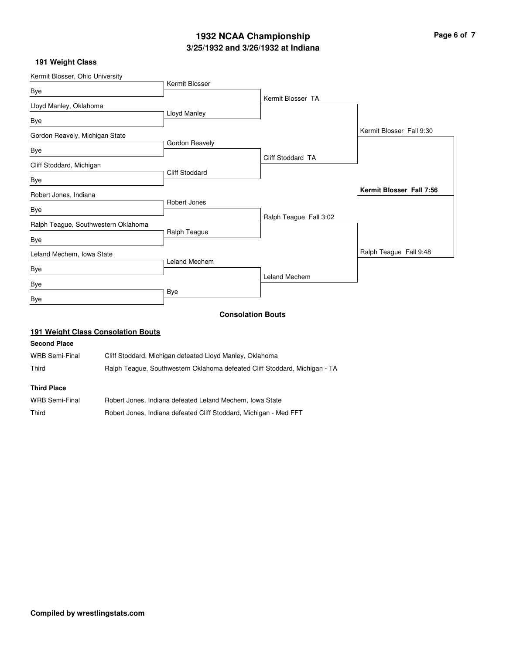# **3/25/1932 and 3/26/1932 at Indiana 1932 NCAA Championship Page 6 of 7**

## **191 Weight Class**

| Kermit Blosser, Ohio University     |                       |                          |                          |
|-------------------------------------|-----------------------|--------------------------|--------------------------|
|                                     | Kermit Blosser        |                          |                          |
| Bye                                 |                       | Kermit Blosser TA        |                          |
| Lloyd Manley, Oklahoma              |                       |                          |                          |
| Bye                                 | Lloyd Manley          |                          |                          |
| Gordon Reavely, Michigan State      |                       |                          | Kermit Blosser Fall 9:30 |
| Bye                                 | Gordon Reavely        |                          |                          |
|                                     |                       | Cliff Stoddard TA        |                          |
| Cliff Stoddard, Michigan            | <b>Cliff Stoddard</b> |                          |                          |
| Bye                                 |                       |                          |                          |
| Robert Jones, Indiana               |                       |                          | Kermit Blosser Fall 7:56 |
|                                     | Robert Jones          |                          |                          |
| Bye                                 |                       | Ralph Teague Fall 3:02   |                          |
| Ralph Teague, Southwestern Oklahoma |                       |                          |                          |
| Bye                                 | Ralph Teague          |                          |                          |
| Leland Mechem, Iowa State           |                       |                          | Ralph Teague Fall 9:48   |
| Bye                                 | <b>Leland Mechem</b>  |                          |                          |
| Bye                                 |                       | <b>Leland Mechem</b>     |                          |
| Bye                                 | Bye                   |                          |                          |
|                                     |                       | <b>Consolation Bouts</b> |                          |

## **191 Weight Class Consolation Bouts**

### **Second Place**

| WRB Semi-Final | Cliff Stoddard, Michigan defeated Lloyd Manley, Oklahoma                   |
|----------------|----------------------------------------------------------------------------|
| Third          | Ralph Teague, Southwestern Oklahoma defeated Cliff Stoddard, Michigan - TA |

#### **Third Place**

| WRB Semi-Final | Robert Jones, Indiana defeated Leland Mechem, Iowa State          |
|----------------|-------------------------------------------------------------------|
| Third          | Robert Jones, Indiana defeated Cliff Stoddard, Michigan - Med FFT |